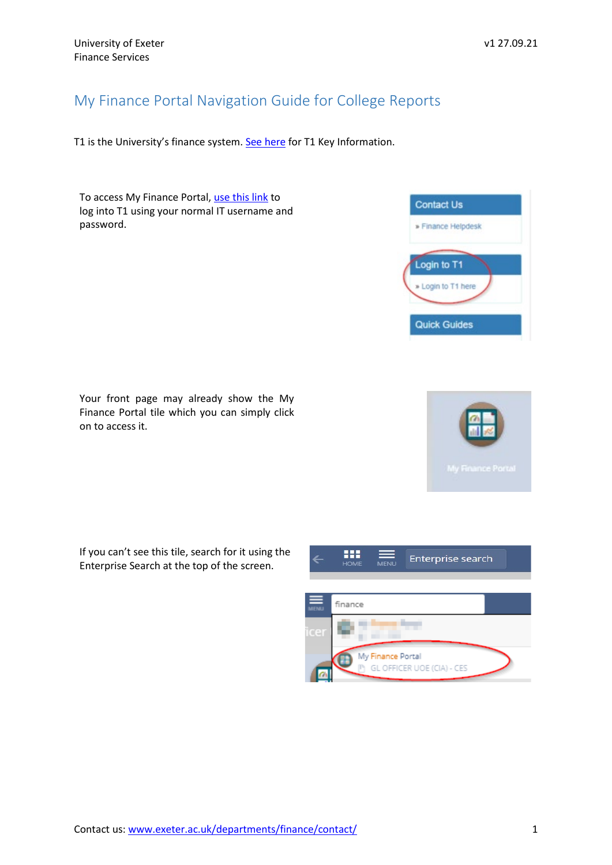## My Finance Portal Navigation Guide for College Reports

T1 is the University's finance system. [See here](https://www.exeter.ac.uk/media/universityofexeter/financeservices/t1manualsworkbooksguides/2019_T1_Induction_Crib_Sheet_v1_29.08.18.pdf) for T1 Key Information.

To access My Finance Portal, [use this link](https://www.exeter.ac.uk/departments/finance/training/) to log into T1 using your normal IT username and password.

Your front page may already show the My Finance Portal tile which you can simply click on to access it.

If you can't see this tile, search for it using the Enterprise Search at the top of the screen.





|           | <b>HOME</b> | <b>MENU</b>       | Enterprise search          |  |
|-----------|-------------|-------------------|----------------------------|--|
|           |             |                   |                            |  |
| ≡<br>MENU | finance     |                   |                            |  |
| icer      |             |                   |                            |  |
|           |             | My Finance Portal | GL OFFICER UOE (CIA) - CES |  |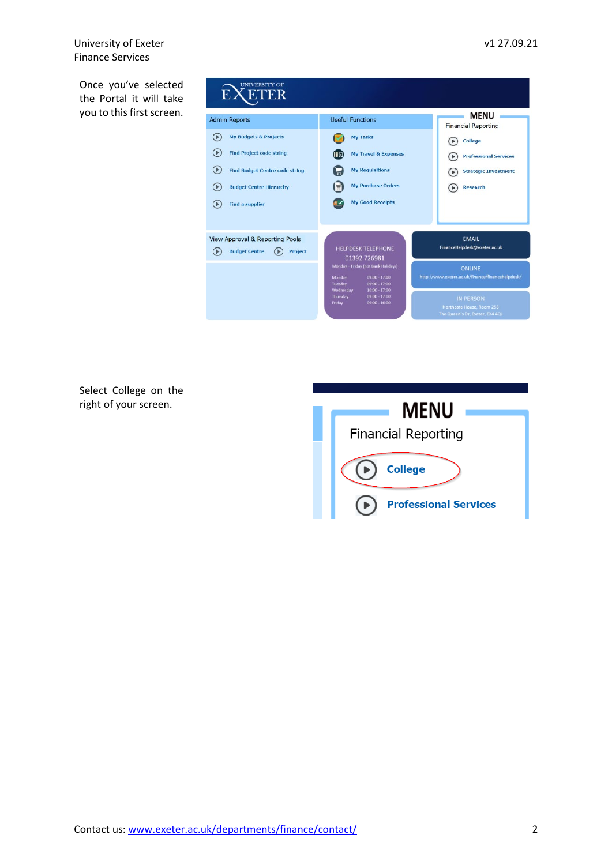University of Exeter v1 27.09.21 Finance Services

Once you've selected the Portal it will take you to this first screen.

| <b>UNIVERSITY OF</b><br><b>EXETER</b>                                                                                                                                                                  |                                                                                                                                             |                                                                                                            |  |  |  |  |
|--------------------------------------------------------------------------------------------------------------------------------------------------------------------------------------------------------|---------------------------------------------------------------------------------------------------------------------------------------------|------------------------------------------------------------------------------------------------------------|--|--|--|--|
| <b>Admin Reports</b>                                                                                                                                                                                   | <b>Useful Functions</b>                                                                                                                     | <b>MENU</b><br><b>Financial Reporting</b>                                                                  |  |  |  |  |
| <b>My Budgets &amp; Projects</b><br>0<br><b>Find Project code string</b><br>( ▶<br>(▶<br><b>Find Budget Centre code string</b><br><b>Budget Centre Hierarchy</b><br>(▶<br><b>Find a supplier</b><br>(▶ | <b>My Tasks</b><br><b>My Travel &amp; Expenses</b><br><b>My Requisitions</b><br><b>My Purchase Orders</b><br><b>My Good Receipts</b>        | College<br><b>Professional Services</b><br><b>Strategic Investment</b><br><b>Research</b>                  |  |  |  |  |
| <b>View Approval &amp; Reporting Pools</b><br><b>Budget Centre</b><br>Project<br>$\left( \triangleright \right)$                                                                                       | <b>HELPDESK TELEPHONE</b><br>01392 726981<br>Monday - Friday (not Bank Holidays)<br>Monday<br>$09:00 - 17:00$<br>Tuesday<br>$09:00 - 17:00$ | <b>EMAIL</b><br>FinanceHelpdesk@exeter.ac.uk<br>ONLINE<br>http://www.exeter.ac.uk/finance/financehelpdesk/ |  |  |  |  |
|                                                                                                                                                                                                        | Wednesday<br>$10:00 - 17:00$<br>$09:00 - 17:00$<br>Thursday<br>$09:00 - 16:00$<br>Friday                                                    | <b>IN PERSON</b><br>Northcote House, Room 253<br>The Queen's Dr. Exeter, EX4 4QJ                           |  |  |  |  |

Select College on the right of your screen.